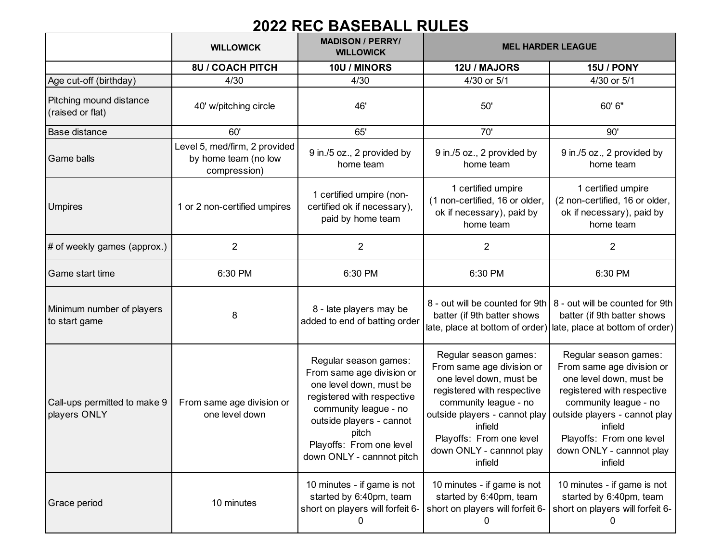## **2022 REC BASEBALL RULES**

|                                              | <b>WILLOWICK</b>                                                      | <b>MADISON / PERRY/</b><br><b>WILLOWICK</b>                                                                                                                                                                                        | <b>MEL HARDER LEAGUE</b>                                                                                                                                                                                                                            |                                                                                                                                                                                                                                                     |
|----------------------------------------------|-----------------------------------------------------------------------|------------------------------------------------------------------------------------------------------------------------------------------------------------------------------------------------------------------------------------|-----------------------------------------------------------------------------------------------------------------------------------------------------------------------------------------------------------------------------------------------------|-----------------------------------------------------------------------------------------------------------------------------------------------------------------------------------------------------------------------------------------------------|
|                                              | <b>8U / COACH PITCH</b>                                               | 10U / MINORS                                                                                                                                                                                                                       | 12U / MAJORS                                                                                                                                                                                                                                        | <b>15U / PONY</b>                                                                                                                                                                                                                                   |
| Age cut-off (birthday)                       | 4/30                                                                  | 4/30                                                                                                                                                                                                                               | 4/30 or 5/1                                                                                                                                                                                                                                         | 4/30 or 5/1                                                                                                                                                                                                                                         |
| Pitching mound distance<br>(raised or flat)  | 40' w/pitching circle                                                 | 46'                                                                                                                                                                                                                                | 50'                                                                                                                                                                                                                                                 | 60' 6"                                                                                                                                                                                                                                              |
| <b>Base distance</b>                         | 60'                                                                   | 65'                                                                                                                                                                                                                                | 70'                                                                                                                                                                                                                                                 | 90'                                                                                                                                                                                                                                                 |
| <b>Game balls</b>                            | Level 5, med/firm, 2 provided<br>by home team (no low<br>compression) | 9 in./5 oz., 2 provided by<br>home team                                                                                                                                                                                            | 9 in./5 oz., 2 provided by<br>home team                                                                                                                                                                                                             | 9 in./5 oz., 2 provided by<br>home team                                                                                                                                                                                                             |
| <b>Umpires</b>                               | 1 or 2 non-certified umpires                                          | 1 certified umpire (non-<br>certified ok if necessary),<br>paid by home team                                                                                                                                                       | 1 certified umpire<br>(1 non-certified, 16 or older,<br>ok if necessary), paid by<br>home team                                                                                                                                                      | 1 certified umpire<br>(2 non-certified, 16 or older,<br>ok if necessary), paid by<br>home team                                                                                                                                                      |
| # of weekly games (approx.)                  | $\overline{2}$                                                        | 2                                                                                                                                                                                                                                  | $\overline{2}$                                                                                                                                                                                                                                      | $\overline{2}$                                                                                                                                                                                                                                      |
| <b>Game start time</b>                       | 6:30 PM                                                               | 6:30 PM                                                                                                                                                                                                                            | 6:30 PM                                                                                                                                                                                                                                             | 6:30 PM                                                                                                                                                                                                                                             |
| Minimum number of players<br>to start game   | 8                                                                     | 8 - late players may be<br>added to end of batting order                                                                                                                                                                           | batter (if 9th batter shows                                                                                                                                                                                                                         | 8 - out will be counted for 9th   8 - out will be counted for 9th<br>batter (if 9th batter shows<br>late, place at bottom of order) late, place at bottom of order)                                                                                 |
| Call-ups permitted to make 9<br>players ONLY | From same age division or<br>one level down                           | Regular season games:<br>From same age division or<br>one level down, must be<br>registered with respective<br>community league - no<br>outside players - cannot<br>pitch<br>Playoffs: From one level<br>down ONLY - cannnot pitch | Regular season games:<br>From same age division or<br>one level down, must be<br>registered with respective<br>community league - no<br>outside players - cannot play<br>infield<br>Playoffs: From one level<br>down ONLY - cannnot play<br>infield | Regular season games:<br>From same age division or<br>one level down, must be<br>registered with respective<br>community league - no<br>outside players - cannot play<br>infield<br>Playoffs: From one level<br>down ONLY - cannnot play<br>infield |
| Grace period                                 | 10 minutes                                                            | 10 minutes - if game is not<br>started by 6:40pm, team<br>short on players will forfeit 6-<br>0                                                                                                                                    | 10 minutes - if game is not<br>started by 6:40pm, team<br>short on players will forfeit 6-<br>0                                                                                                                                                     | 10 minutes - if game is not<br>started by 6:40pm, team<br>short on players will forfeit 6-<br>0                                                                                                                                                     |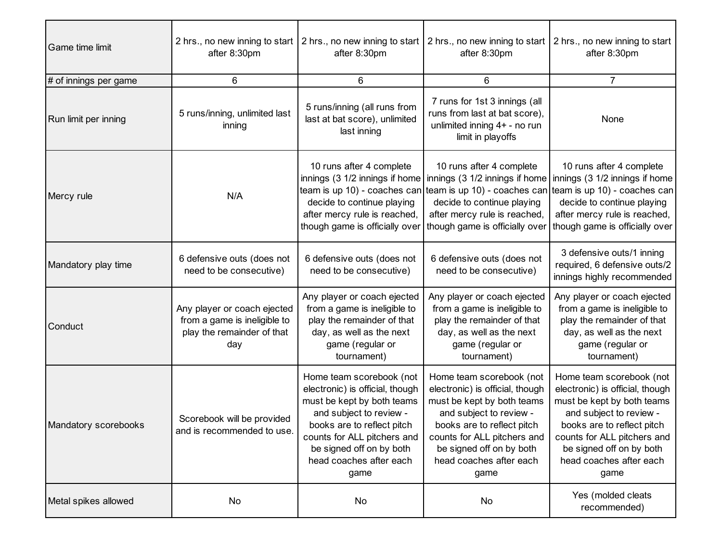| Game time limit       | after 8:30pm                                                                                     | after 8:30pm                                                                                                                                                                                                                                     | 2 hrs., no new inning to start 2 hrs., no new inning to start 2 hrs., no new inning to start 2 hrs., no new inning to start<br>after 8:30pm                                                                                                      | after 8:30pm                                                                                                                                                                                                                                     |
|-----------------------|--------------------------------------------------------------------------------------------------|--------------------------------------------------------------------------------------------------------------------------------------------------------------------------------------------------------------------------------------------------|--------------------------------------------------------------------------------------------------------------------------------------------------------------------------------------------------------------------------------------------------|--------------------------------------------------------------------------------------------------------------------------------------------------------------------------------------------------------------------------------------------------|
| # of innings per game | 6                                                                                                | 6                                                                                                                                                                                                                                                | 6                                                                                                                                                                                                                                                | $\overline{7}$                                                                                                                                                                                                                                   |
| Run limit per inning  | 5 runs/inning, unlimited last<br>inning                                                          | 5 runs/inning (all runs from<br>last at bat score), unlimited<br>last inning                                                                                                                                                                     | 7 runs for 1st 3 innings (all<br>runs from last at bat score),<br>unlimited inning 4+ - no run<br>limit in playoffs                                                                                                                              | None                                                                                                                                                                                                                                             |
| Mercy rule            | N/A                                                                                              | 10 runs after 4 complete<br>decide to continue playing<br>after mercy rule is reached,<br>though game is officially over                                                                                                                         | 10 runs after 4 complete<br>innings (3 1/2 innings if home   innings (3 1/2 innings if home   innings (3 1/2 innings if home<br>decide to continue playing<br>after mercy rule is reached,<br>though game is officially over                     | 10 runs after 4 complete<br>team is up 10) - coaches can team is up 10) - coaches can team is up 10) - coaches can<br>decide to continue playing<br>after mercy rule is reached,<br>though game is officially over                               |
| Mandatory play time   | 6 defensive outs (does not<br>need to be consecutive)                                            | 6 defensive outs (does not<br>need to be consecutive)                                                                                                                                                                                            | 6 defensive outs (does not<br>need to be consecutive)                                                                                                                                                                                            | 3 defensive outs/1 inning<br>required, 6 defensive outs/2<br>innings highly recommended                                                                                                                                                          |
| Conduct               | Any player or coach ejected<br>from a game is ineligible to<br>play the remainder of that<br>day | Any player or coach ejected<br>from a game is ineligible to<br>play the remainder of that<br>day, as well as the next<br>game (regular or<br>tournament)                                                                                         | Any player or coach ejected<br>from a game is ineligible to<br>play the remainder of that<br>day, as well as the next<br>game (regular or<br>tournament)                                                                                         | Any player or coach ejected<br>from a game is ineligible to<br>play the remainder of that<br>day, as well as the next<br>game (regular or<br>tournament)                                                                                         |
| Mandatory scorebooks  | Scorebook will be provided<br>and is recommended to use.                                         | Home team scorebook (not<br>electronic) is official, though<br>must be kept by both teams<br>and subject to review -<br>books are to reflect pitch<br>counts for ALL pitchers and<br>be signed off on by both<br>head coaches after each<br>game | Home team scorebook (not<br>electronic) is official, though<br>must be kept by both teams<br>and subject to review -<br>books are to reflect pitch<br>counts for ALL pitchers and<br>be signed off on by both<br>head coaches after each<br>game | Home team scorebook (not<br>electronic) is official, though<br>must be kept by both teams<br>and subject to review -<br>books are to reflect pitch<br>counts for ALL pitchers and<br>be signed off on by both<br>head coaches after each<br>game |
| Metal spikes allowed  | No                                                                                               | No                                                                                                                                                                                                                                               | No                                                                                                                                                                                                                                               | Yes (molded cleats<br>recommended)                                                                                                                                                                                                               |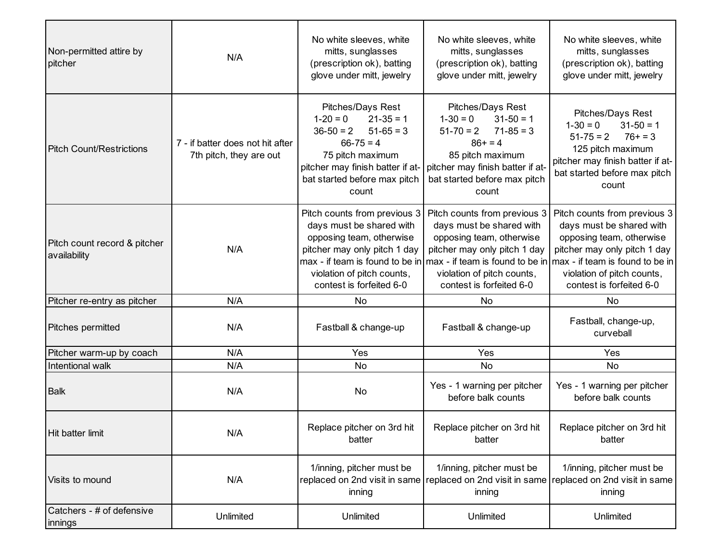| Non-permitted attire by<br>pitcher           | N/A                                                         | No white sleeves, white<br>mitts, sunglasses<br>(prescription ok), batting<br>glove under mitt, jewelry                                                                                          | No white sleeves, white<br>mitts, sunglasses<br>(prescription ok), batting<br>glove under mitt, jewelry                                                                                                                                                                                 | No white sleeves, white<br>mitts, sunglasses<br>(prescription ok), batting<br>glove under mitt, jewelry                                                                            |
|----------------------------------------------|-------------------------------------------------------------|--------------------------------------------------------------------------------------------------------------------------------------------------------------------------------------------------|-----------------------------------------------------------------------------------------------------------------------------------------------------------------------------------------------------------------------------------------------------------------------------------------|------------------------------------------------------------------------------------------------------------------------------------------------------------------------------------|
| <b>Pitch Count/Restrictions</b>              | 7 - if batter does not hit after<br>7th pitch, they are out | Pitches/Days Rest<br>$21 - 35 = 1$<br>$1 - 20 = 0$<br>$51-65=3$<br>$36-50 = 2$<br>$66 - 75 = 4$<br>75 pitch maximum<br>pitcher may finish batter if at-<br>bat started before max pitch<br>count | Pitches/Days Rest<br>$31-50 = 1$<br>$1 - 30 = 0$<br>$71-85=3$<br>$51 - 70 = 2$<br>$86+ = 4$<br>85 pitch maximum<br>pitcher may finish batter if at-<br>bat started before max pitch<br>count                                                                                            | Pitches/Days Rest<br>$1 - 30 = 0$<br>$31 - 50 = 1$<br>$76+ = 3$<br>$51 - 75 = 2$<br>125 pitch maximum<br>pitcher may finish batter if at-<br>bat started before max pitch<br>count |
| Pitch count record & pitcher<br>availability | N/A                                                         | Pitch counts from previous 3<br>days must be shared with<br>opposing team, otherwise<br>pitcher may only pitch 1 day<br>violation of pitch counts,<br>contest is forfeited 6-0                   | Pitch counts from previous 3<br>days must be shared with<br>opposing team, otherwise<br>pitcher may only pitch 1 day<br>max - if team is found to be in $\max$ - if team is found to be in $\max$ - if team is found to be in<br>violation of pitch counts,<br>contest is forfeited 6-0 | Pitch counts from previous 3<br>days must be shared with<br>opposing team, otherwise<br>pitcher may only pitch 1 day<br>violation of pitch counts,<br>contest is forfeited 6-0     |
| Pitcher re-entry as pitcher                  | N/A                                                         | No                                                                                                                                                                                               | No                                                                                                                                                                                                                                                                                      | No                                                                                                                                                                                 |
| Pitches permitted                            | N/A                                                         | Fastball & change-up                                                                                                                                                                             | Fastball & change-up                                                                                                                                                                                                                                                                    | Fastball, change-up,<br>curveball                                                                                                                                                  |
| Pitcher warm-up by coach                     | N/A                                                         | Yes                                                                                                                                                                                              | Yes                                                                                                                                                                                                                                                                                     | Yes                                                                                                                                                                                |
| Intentional walk                             | N/A                                                         | No                                                                                                                                                                                               | No                                                                                                                                                                                                                                                                                      | No                                                                                                                                                                                 |
| <b>Balk</b>                                  | N/A                                                         | No                                                                                                                                                                                               | Yes - 1 warning per pitcher<br>before balk counts                                                                                                                                                                                                                                       | Yes - 1 warning per pitcher<br>before balk counts                                                                                                                                  |
| Hit batter limit                             | N/A                                                         | Replace pitcher on 3rd hit<br>batter                                                                                                                                                             | Replace pitcher on 3rd hit<br>batter                                                                                                                                                                                                                                                    | Replace pitcher on 3rd hit<br>batter                                                                                                                                               |
| Visits to mound                              | N/A                                                         | 1/inning, pitcher must be<br>inning                                                                                                                                                              | 1/inning, pitcher must be<br>replaced on 2nd visit in same replaced on 2nd visit in same replaced on 2nd visit in same<br>inning                                                                                                                                                        | 1/inning, pitcher must be<br>inning                                                                                                                                                |
| Catchers - # of defensive<br>innings         | Unlimited                                                   | Unlimited                                                                                                                                                                                        | Unlimited                                                                                                                                                                                                                                                                               | Unlimited                                                                                                                                                                          |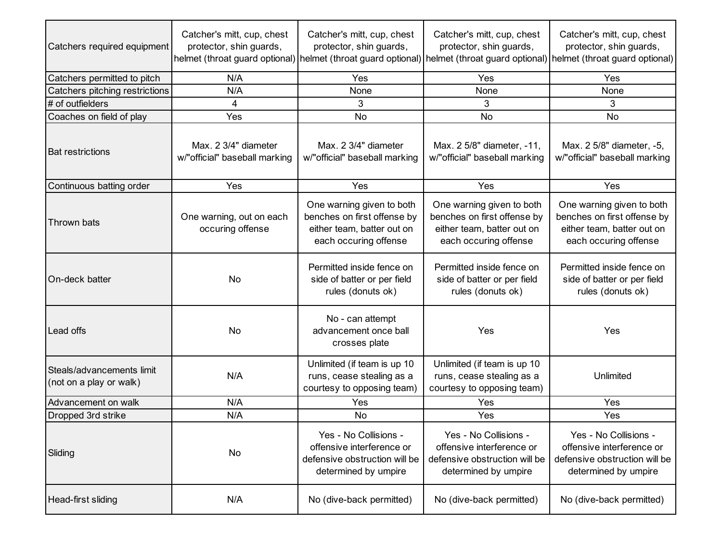| Catchers required equipment                          | Catcher's mitt, cup, chest<br>protector, shin guards, | Catcher's mitt, cup, chest<br>protector, shin guards,                                                           | Catcher's mitt, cup, chest<br>protector, shin guards,                                                           | Catcher's mitt, cup, chest<br>protector, shin guards,<br>helmet (throat guard optional) helmet (throat guard optional) helmet (throat guard optional) helmet (throat guard optional) |
|------------------------------------------------------|-------------------------------------------------------|-----------------------------------------------------------------------------------------------------------------|-----------------------------------------------------------------------------------------------------------------|--------------------------------------------------------------------------------------------------------------------------------------------------------------------------------------|
| Catchers permitted to pitch                          | N/A                                                   | Yes                                                                                                             | Yes                                                                                                             | Yes                                                                                                                                                                                  |
| Catchers pitching restrictions                       | N/A                                                   | None                                                                                                            | None                                                                                                            | None                                                                                                                                                                                 |
| # of outfielders                                     | 4                                                     | 3                                                                                                               | 3                                                                                                               | 3                                                                                                                                                                                    |
| Coaches on field of play                             | Yes                                                   | <b>No</b>                                                                                                       | No                                                                                                              | <b>No</b>                                                                                                                                                                            |
| <b>Bat restrictions</b>                              | Max. 2 3/4" diameter<br>w/"official" baseball marking | Max. 2 3/4" diameter<br>w/"official" baseball marking                                                           | Max. 2 5/8" diameter, -11,<br>w/"official" baseball marking                                                     | Max. 2 5/8" diameter, -5,<br>w/"official" baseball marking                                                                                                                           |
| Continuous batting order                             | Yes                                                   | Yes                                                                                                             | Yes                                                                                                             | Yes                                                                                                                                                                                  |
| Thrown bats                                          | One warning, out on each<br>occuring offense          | One warning given to both<br>benches on first offense by<br>either team, batter out on<br>each occuring offense | One warning given to both<br>benches on first offense by<br>either team, batter out on<br>each occuring offense | One warning given to both<br>benches on first offense by<br>either team, batter out on<br>each occuring offense                                                                      |
| On-deck batter                                       | No                                                    | Permitted inside fence on<br>side of batter or per field<br>rules (donuts ok)                                   | Permitted inside fence on<br>side of batter or per field<br>rules (donuts ok)                                   | Permitted inside fence on<br>side of batter or per field<br>rules (donuts ok)                                                                                                        |
| Lead offs                                            | No                                                    | No - can attempt<br>advancement once ball<br>crosses plate                                                      | Yes                                                                                                             | Yes                                                                                                                                                                                  |
| Steals/advancements limit<br>(not on a play or walk) | N/A                                                   | Unlimited (if team is up 10<br>runs, cease stealing as a<br>courtesy to opposing team)                          | Unlimited (if team is up 10<br>runs, cease stealing as a<br>courtesy to opposing team)                          | Unlimited                                                                                                                                                                            |
| Advancement on walk                                  | N/A                                                   | Yes                                                                                                             | Yes                                                                                                             | Yes                                                                                                                                                                                  |
| Dropped 3rd strike                                   | N/A                                                   | No                                                                                                              | Yes                                                                                                             | Yes                                                                                                                                                                                  |
| Sliding                                              | No                                                    | Yes - No Collisions -<br>offensive interference or<br>defensive obstruction will be<br>determined by umpire     | Yes - No Collisions -<br>offensive interference or<br>defensive obstruction will be<br>determined by umpire     | Yes - No Collisions -<br>offensive interference or<br>defensive obstruction will be<br>determined by umpire                                                                          |
| Head-first sliding                                   | N/A                                                   | No (dive-back permitted)                                                                                        | No (dive-back permitted)                                                                                        | No (dive-back permitted)                                                                                                                                                             |